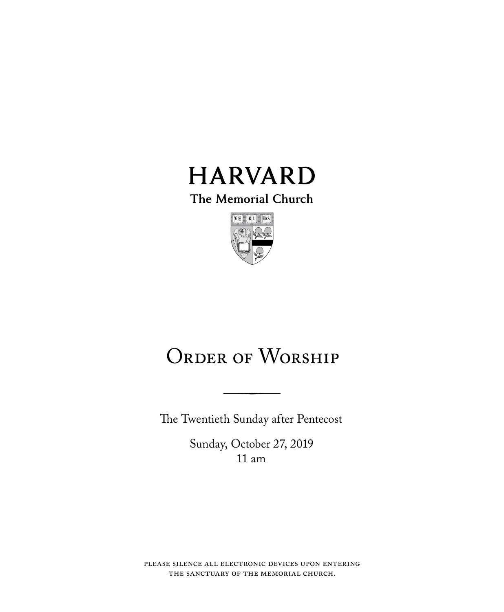

The Memorial Church



# ORDER OF WORSHIP

The Twentieth Sunday after Pentecost

Sunday, October 27, 2019 11 am

please silence all electronic devices upon entering the sanctuary of the memorial church.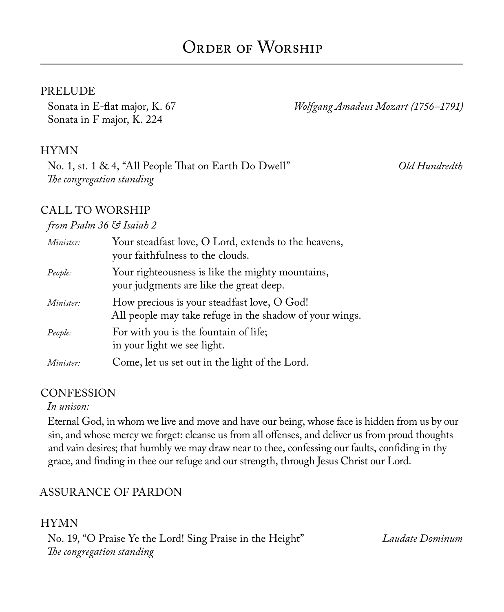## PRELUDE

Sonata in F major, K. 224

Sonata in E-flat major, K. 67 *Wolfgang Amadeus Mozart (1756–1791)*

## HYMN

No. 1, st. 1 & 4, "All People That on Earth Do Dwell" *Old Hundredth The congregation standing*

## CALL TO WORSHIP

#### *from Psalm 36 & Isaiah 2*

| Minister: | Your steadfast love, O Lord, extends to the heavens,<br>your faithfulness to the clouds.               |
|-----------|--------------------------------------------------------------------------------------------------------|
| People:   | Your righteousness is like the mighty mountains,<br>your judgments are like the great deep.            |
| Minister: | How precious is your steadfast love, O God!<br>All people may take refuge in the shadow of your wings. |
| People:   | For with you is the fountain of life;<br>in your light we see light.                                   |
| Minister: | Come, let us set out in the light of the Lord.                                                         |

## **CONFESSION**

#### *In unison:*

Eternal God, in whom we live and move and have our being, whose face is hidden from us by our sin, and whose mercy we forget: cleanse us from all offenses, and deliver us from proud thoughts and vain desires; that humbly we may draw near to thee, confessing our faults, confiding in thy grace, and finding in thee our refuge and our strength, through Jesus Christ our Lord.

## ASSURANCE OF PARDON

## HYMN No. 19, "O Praise Ye the Lord! Sing Praise in the Height" *Laudate Dominum The congregation standing*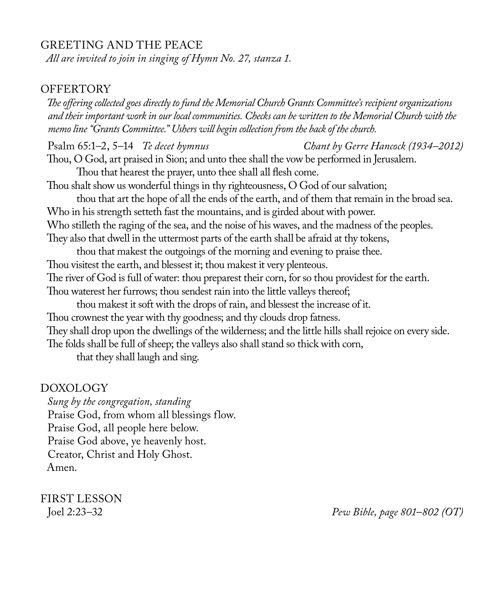## GREETING AND THE PEACE

*All are invited to join in singing of Hymn No. 27, stanza 1.*

#### **OFFERTORY**

*The offering collected goes directly to fund the Memorial Church Grants Committee's recipient organizations and their important work in our local communities. Checks can be written to the Memorial Church with the memo line "Grants Committee." Ushers will begin collection from the back of the church.*

Psalm 65:1–2, 5–14 *Te decet hymnus Chant by Gerre Hancock (1934–2012)* Thou, O God, art praised in Sion; and unto thee shall the vow be performed in Jerusalem. Thou that hearest the prayer, unto thee shall all flesh come. Thou shalt show us wonderful things in thy righteousness, O God of our salvation; thou that art the hope of all the ends of the earth, and of them that remain in the broad sea. Who in his strength setteth fast the mountains, and is girded about with power. Who stilleth the raging of the sea, and the noise of his waves, and the madness of the peoples. They also that dwell in the uttermost parts of the earth shall be afraid at thy tokens, thou that makest the outgoings of the morning and evening to praise thee.

Thou visitest the earth, and blessest it; thou makest it very plenteous. The river of God is full of water: thou preparest their corn, for so thou providest for the earth. Thou waterest her furrows; thou sendest rain into the little valleys thereof;

thou makest it soft with the drops of rain, and blessest the increase of it.

Thou crownest the year with thy goodness; and thy clouds drop fatness.

They shall drop upon the dwellings of the wilderness; and the little hills shall rejoice on every side. The folds shall be full of sheep; the valleys also shall stand so thick with corn,

that they shall laugh and sing.

#### DOXOLOGY

*Sung by the congregation, standing* Praise God, from whom all blessings flow. Praise God, all people here below. Praise God above, ye heavenly host. Creator, Christ and Holy Ghost. Amen.

FIRST LESSON

Joel 2:23–32 *Pew Bible, page 801*–*802 (OT)*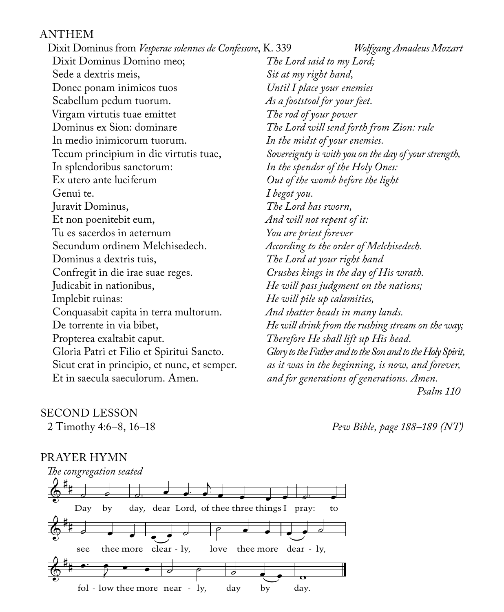#### ANTHEM

Dixit Dominus from *Vesperae solennes de Confessore*, K. 339 *Wolfgang Amadeus Mozart* Dixit Dominus Domino meo; Sede a dextris meis, Donec ponam inimicos tuos Scabellum pedum tuorum. Virgam virtutis tuae emittet Dominus ex Sion: dominare In medio inimicorum tuorum. Tecum principium in die virtutis tuae, In splendoribus sanctorum: Ex utero ante luciferum Genui te. Juravit Dominus, Et non poenitebit eum, Tu es sacerdos in aeternum Secundum ordinem Melchisedech. Dominus a dextris tuis, Confregit in die irae suae reges. Judicabit in nationibus, Implebit ruinas: Conquasabit capita in terra multorum. De torrente in via bibet, Propterea exaltabit caput. Gloria Patri et Filio et Spiritui Sancto. Sicut erat in principio, et nunc, et semper. Et in saecula saeculorum. Amen. *The Lord said to my Lord; Sit at my right hand, Until I place your enemies As a footstool for your feet. The rod of your power The Lord will send forth from Zion: rule In the midst of your enemies. Sovereignty is with you on the day of your strength, In the spendor of the Holy Ones: Out of the womb before the light I begot you. The Lord has sworn, And will not repent of it: You are priest forever According to the order of Melchisedech. The Lord at your right hand Crushes kings in the day of His wrath. He will pass judgment on the nations; He will pile up calamities, And shatter heads in many lands. He will drink from the rushing stream on the way; Therefore He shall lift up His head. Glory to the Father and to the Son and to the Holy Spirit, as it was in the beginning, is now, and forever, and for generations of generations. Amen. Psalm 110*

## SECOND LESSON

2 Timothy 4:6–8, 16–18 *Pew Bible, page 188–189 (NT)*

#### PRAYER HYMN

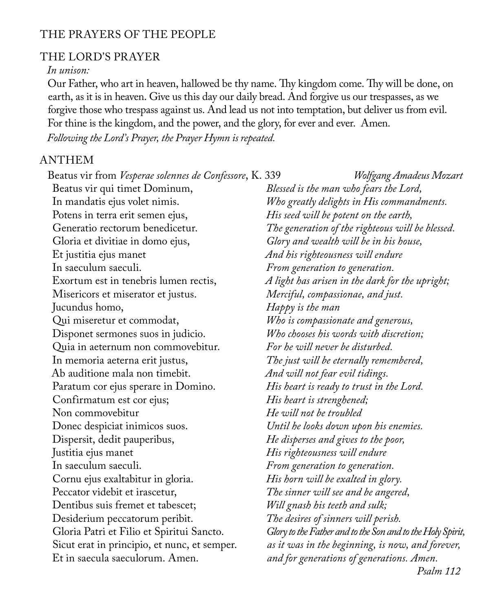## THE PRAYERS OF THE PEOPLE

## THE LORD'S PRAYER

#### *In unison:*

Our Father, who art in heaven, hallowed be thy name. Thy kingdom come. Thy will be done, on earth, as it is in heaven. Give us this day our daily bread. And forgive us our trespasses, as we forgive those who trespass against us. And lead us not into temptation, but deliver us from evil. For thine is the kingdom, and the power, and the glory, for ever and ever. Amen.

*Following the Lord's Prayer, the Prayer Hymn is repeated.*

#### ANTHEM

| Beatus vir from Vesperae solennes de Confessore, K. 339 | Wolfgang Amadeus Mozart                                    |
|---------------------------------------------------------|------------------------------------------------------------|
| Beatus vir qui timet Dominum,                           | Blessed is the man who fears the Lord,                     |
| In mandatis ejus volet nimis.                           | Who greatly delights in His commandments.                  |
| Potens in terra erit semen ejus,                        | His seed will be potent on the earth,                      |
| Generatio rectorum benedicetur.                         | The generation of the righteous will be blessed.           |
| Gloria et divitiae in domo ejus,                        | Glory and wealth will be in his house,                     |
| Et justitia ejus manet                                  | And his righteousness will endure                          |
| In saeculum saeculi.                                    | From generation to generation.                             |
| Exortum est in tenebris lumen rectis,                   | A light has arisen in the dark for the upright;            |
| Misericors et miserator et justus.                      | Merciful, compassionae, and just.                          |
| Jucundus homo,                                          | Happy is the man                                           |
| Qui miseretur et commodat,                              | Who is compassionate and generous,                         |
| Disponet sermones suos in judicio.                      | Who chooses his words with discretion;                     |
| Quia in aeternum non commovebitur.                      | For he will never be disturbed.                            |
| In memoria aeterna erit justus,                         | The just will be eternally remembered,                     |
| Ab auditione mala non timebit.                          | And will not fear evil tidings.                            |
| Paratum cor ejus sperare in Domino.                     | His heart is ready to trust in the Lord.                   |
| Confirmatum est cor ejus;                               | His heart is strenghened;                                  |
| Non commovebitur                                        | He will not be troubled                                    |
| Donec despiciat inimicos suos.                          | Until he looks down upon his enemies.                      |
| Dispersit, dedit pauperibus,                            | He disperses and gives to the poor,                        |
| Justitia ejus manet                                     | His righteousness will endure                              |
| In saeculum saeculi.                                    | From generation to generation.                             |
| Cornu ejus exaltabitur in gloria.                       | His horn will be exalted in glory.                         |
| Peccator videbit et irascetur,                          | The sinner will see and be angered,                        |
| Dentibus suis fremet et tabescet;                       | Will gnash his teeth and sulk;                             |
| Desiderium peccatorum peribit.                          | The desires of sinners will perish.                        |
| Gloria Patri et Filio et Spiritui Sancto.               | Glory to the Father and to the Son and to the Holy Spirit, |
| Sicut erat in principio, et nunc, et semper.            | as it was in the beginning, is now, and forever,           |
| Et in saecula saeculorum. Amen.                         | and for generations of generations. Amen.                  |
|                                                         | Psalm 112                                                  |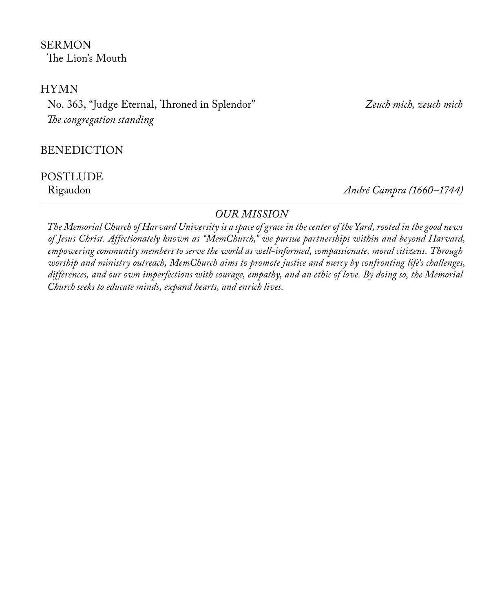**SERMON** The Lion's Mouth

## HYMN

No. 363, "Judge Eternal, Throned in Splendor" *Zeuch mich, zeuch mich The congregation standing* 

BENEDICTION

# POSTLUDE<br>Rigaudon

Rigaudon *André Campra (1660–1744)*

## *OUR MISSION*

*The Memorial Church of Harvard University is a space of grace in the center of the Yard, rooted in the good news of Jesus Christ. Affectionately known as "MemChurch," we pursue partnerships within and beyond Harvard, empowering community members to serve the world as well-informed, compassionate, moral citizens. Through worship and ministry outreach, MemChurch aims to promote justice and mercy by confronting life's challenges, differences, and our own imperfections with courage, empathy, and an ethic of love. By doing so, the Memorial Church seeks to educate minds, expand hearts, and enrich lives.*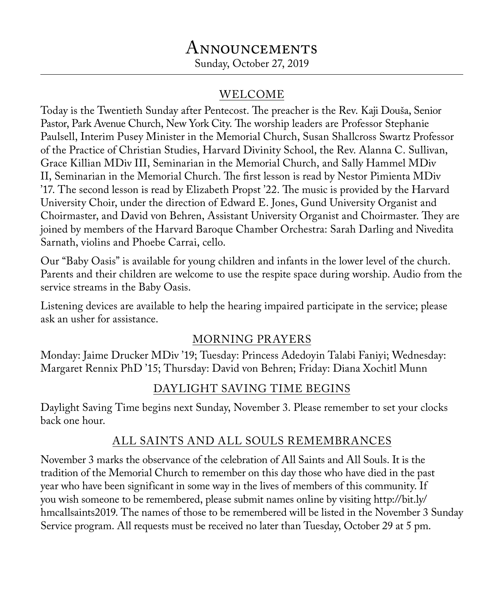# Announcements Sunday, October 27, 2019

# WELCOME

Today is the Twentieth Sunday after Pentecost. The preacher is the Rev. Kaji Douša, Senior Pastor, Park Avenue Church, New York City. The worship leaders are Professor Stephanie Paulsell, Interim Pusey Minister in the Memorial Church, Susan Shallcross Swartz Professor of the Practice of Christian Studies, Harvard Divinity School, the Rev. Alanna C. Sullivan, Grace Killian MDiv III, Seminarian in the Memorial Church, and Sally Hammel MDiv II, Seminarian in the Memorial Church. The first lesson is read by Nestor Pimienta MDiv '17. The second lesson is read by Elizabeth Propst '22. The music is provided by the Harvard University Choir, under the direction of Edward E. Jones, Gund University Organist and Choirmaster, and David von Behren, Assistant University Organist and Choirmaster. They are joined by members of the Harvard Baroque Chamber Orchestra: Sarah Darling and Nivedita Sarnath, violins and Phoebe Carrai, cello.

Our "Baby Oasis" is available for young children and infants in the lower level of the church. Parents and their children are welcome to use the respite space during worship. Audio from the service streams in the Baby Oasis.

Listening devices are available to help the hearing impaired participate in the service; please ask an usher for assistance.

# MORNING PRAYERS

Monday: Jaime Drucker MDiv '19; Tuesday: Princess Adedoyin Talabi Faniyi; Wednesday: Margaret Rennix PhD '15; Thursday: David von Behren; Friday: Diana Xochitl Munn

# DAYLIGHT SAVING TIME BEGINS

Daylight Saving Time begins next Sunday, November 3. Please remember to set your clocks back one hour.

# ALL SAINTS AND ALL SOULS REMEMBRANCES

November 3 marks the observance of the celebration of All Saints and All Souls. It is the tradition of the Memorial Church to remember on this day those who have died in the past year who have been significant in some way in the lives of members of this community. If you wish someone to be remembered, please submit names online by visiting http://bit.ly/ hmcallsaints2019. The names of those to be remembered will be listed in the November 3 Sunday Service program. All requests must be received no later than Tuesday, October 29 at 5 pm.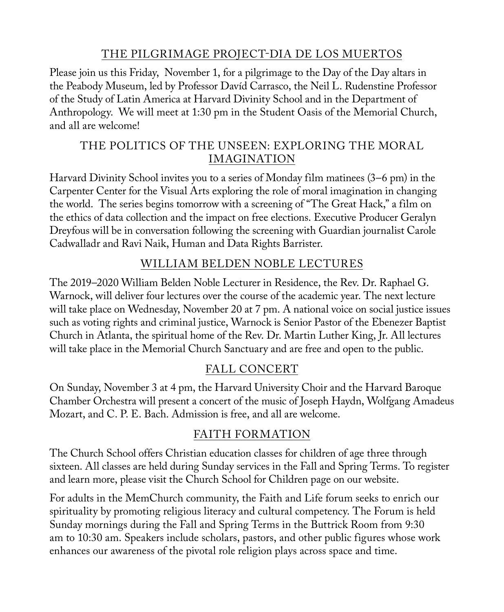# THE PILGRIMAGE PROJECT-DIA DE LOS MUERTOS

Please join us this Friday, November 1, for a pilgrimage to the Day of the Day altars in the Peabody Museum, led by Professor Davíd Carrasco, the Neil L. Rudenstine Professor of the Study of Latin America at Harvard Divinity School and in the Department of Anthropology. We will meet at 1:30 pm in the Student Oasis of the Memorial Church, and all are welcome!

# THE POLITICS OF THE UNSEEN: EXPLORING THE MORAL IMAGINATION

Harvard Divinity School invites you to a series of Monday film matinees (3–6 pm) in the Carpenter Center for the Visual Arts exploring the role of moral imagination in changing the world. The series begins tomorrow with a screening of "The Great Hack," a film on the ethics of data collection and the impact on free elections. Executive Producer Geralyn Dreyfous will be in conversation following the screening with Guardian journalist Carole Cadwalladr and Ravi Naik, Human and Data Rights Barrister.

# WILLIAM BELDEN NOBLE LECTURES

The 2019–2020 William Belden Noble Lecturer in Residence, the Rev. Dr. Raphael G. Warnock, will deliver four lectures over the course of the academic year. The next lecture will take place on Wednesday, November 20 at 7 pm. A national voice on social justice issues such as voting rights and criminal justice, Warnock is Senior Pastor of the Ebenezer Baptist Church in Atlanta, the spiritual home of the Rev. Dr. Martin Luther King, Jr. All lectures will take place in the Memorial Church Sanctuary and are free and open to the public.

# FALL CONCERT

On Sunday, November 3 at 4 pm, the Harvard University Choir and the Harvard Baroque Chamber Orchestra will present a concert of the music of Joseph Haydn, Wolfgang Amadeus Mozart, and C. P. E. Bach. Admission is free, and all are welcome.

# FAITH FORMATION

The Church School offers Christian education classes for children of age three through sixteen. All classes are held during Sunday services in the Fall and Spring Terms. To register and learn more, please visit the Church School for Children page on our website.

For adults in the MemChurch community, the Faith and Life forum seeks to enrich our spirituality by promoting religious literacy and cultural competency. The Forum is held Sunday mornings during the Fall and Spring Terms in the Buttrick Room from 9:30 am to 10:30 am. Speakers include scholars, pastors, and other public figures whose work enhances our awareness of the pivotal role religion plays across space and time.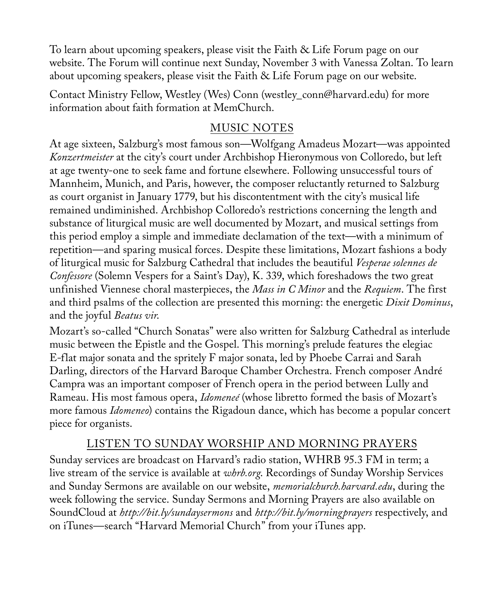To learn about upcoming speakers, please visit the Faith & Life Forum page on our website. The Forum will continue next Sunday, November 3 with Vanessa Zoltan. To learn about upcoming speakers, please visit the Faith & Life Forum page on our website.

Contact Ministry Fellow, Westley (Wes) Conn (westley\_conn@harvard.edu) for more information about faith formation at MemChurch.

## MUSIC NOTES

At age sixteen, Salzburg's most famous son—Wolfgang Amadeus Mozart—was appointed *Konzertmeister* at the city's court under Archbishop Hieronymous von Colloredo, but left at age twenty-one to seek fame and fortune elsewhere. Following unsuccessful tours of Mannheim, Munich, and Paris, however, the composer reluctantly returned to Salzburg as court organist in January 1779, but his discontentment with the city's musical life remained undiminished. Archbishop Colloredo's restrictions concerning the length and substance of liturgical music are well documented by Mozart, and musical settings from this period employ a simple and immediate declamation of the text—with a minimum of repetition—and sparing musical forces. Despite these limitations, Mozart fashions a body of liturgical music for Salzburg Cathedral that includes the beautiful *Vesperae solennes de Confessore* (Solemn Vespers for a Saint's Day), K. 339, which foreshadows the two great unfinished Viennese choral masterpieces, the *Mass in C Minor* and the *Requiem*. The first and third psalms of the collection are presented this morning: the energetic *Dixit Dominus*, and the joyful *Beatus vir*.

Mozart's so-called "Church Sonatas" were also written for Salzburg Cathedral as interlude music between the Epistle and the Gospel. This morning's prelude features the elegiac E-flat major sonata and the spritely F major sonata, led by Phoebe Carrai and Sarah Darling, directors of the Harvard Baroque Chamber Orchestra. French composer André Campra was an important composer of French opera in the period between Lully and Rameau. His most famous opera, *Idomeneé* (whose libretto formed the basis of Mozart's more famous *Idomeneo*) contains the Rigadoun dance, which has become a popular concert piece for organists.

## LISTEN TO SUNDAY WORSHIP AND MORNING PRAYERS

Sunday services are broadcast on Harvard's radio station, WHRB 95.3 FM in term; a live stream of the service is available at *whrb.org*. Recordings of Sunday Worship Services and Sunday Sermons are available on our website, *memorialchurch.harvard.edu*, during the week following the service. Sunday Sermons and Morning Prayers are also available on SoundCloud at *http://bit.ly/sundaysermons* and *http://bit.ly/morningprayers* respectively, and on iTunes—search "Harvard Memorial Church" from your iTunes app.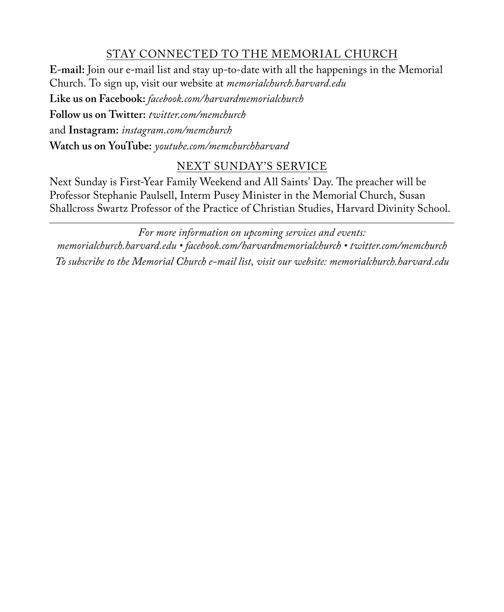# STAY CONNECTED TO THE MEMORIAL CHURCH

**E-mail:** Join our e-mail list and stay up-to-date with all the happenings in the Memorial Church. To sign up, visit our website at *memorialchurch.harvard.edu*

**Like us on Facebook:** *facebook.com/harvardmemorialchurch* **Follow us on Twitter:** *twitter.com/memchurch* and **Instagram:** *instagram.com/memchurch* **Watch us on YouTube:** *youtube.com/memchurchharvard*

# NEXT SUNDAY'S SERVICE

Next Sunday is First-Year Family Weekend and All Saints' Day. The preacher will be Professor Stephanie Paulsell, Interm Pusey Minister in the Memorial Church, Susan Shallcross Swartz Professor of the Practice of Christian Studies, Harvard Divinity School.

*For more information on upcoming services and events: memorialchurch.harvard.edu • facebook.com/harvardmemorialchurch • twitter.com/memchurch To subscribe to the Memorial Church e-mail list, visit our website: memorialchurch.harvard.edu*